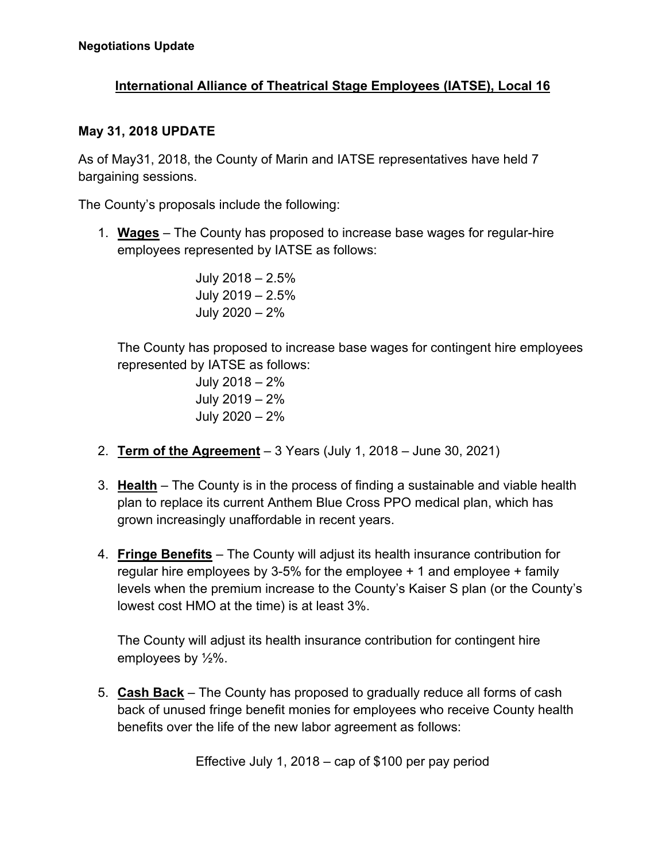## **International Alliance of Theatrical Stage Employees (IATSE), Local 16**

## **May 31, 2018 UPDATE**

As of May31, 2018, the County of Marin and IATSE representatives have held 7 bargaining sessions.

The County's proposals include the following:

1. **Wages** – The County has proposed to increase base wages for regular-hire employees represented by IATSE as follows:

> July 2018 – 2.5% July 2019 – 2.5% July 2020 – 2%

 The County has proposed to increase base wages for contingent hire employees represented by IATSE as follows:

> July 2018 – 2% July 2019 – 2% July 2020 – 2%

- 2. **Term of the Agreement** 3 Years (July 1, 2018 June 30, 2021)
- 3. **Health** The County is in the process of finding a sustainable and viable health plan to replace its current Anthem Blue Cross PPO medical plan, which has grown increasingly unaffordable in recent years.
- 4. **Fringe Benefits** The County will adjust its health insurance contribution for regular hire employees by 3-5% for the employee + 1 and employee + family levels when the premium increase to the County's Kaiser S plan (or the County's lowest cost HMO at the time) is at least 3%.

The County will adjust its health insurance contribution for contingent hire employees by ½%.

5. **Cash Back** – The County has proposed to gradually reduce all forms of cash back of unused fringe benefit monies for employees who receive County health benefits over the life of the new labor agreement as follows:

Effective July 1, 2018 – cap of \$100 per pay period